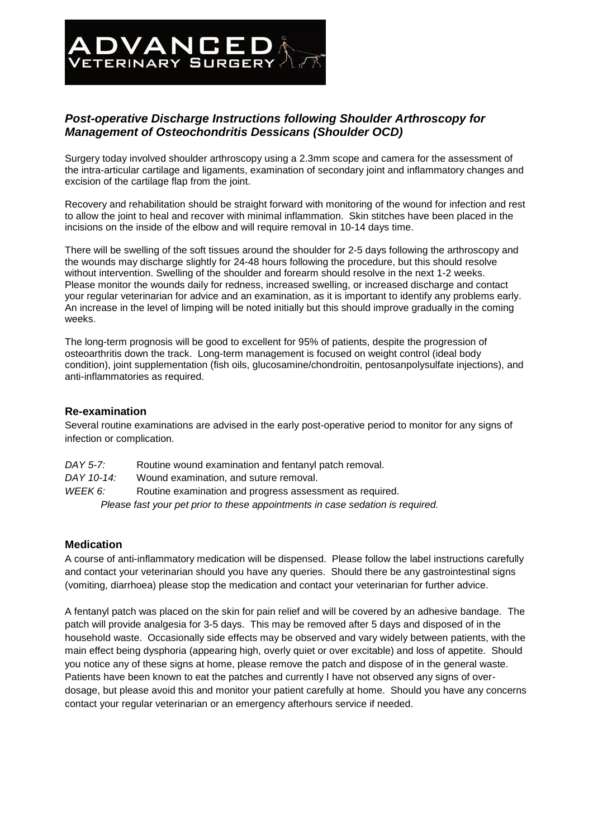# *Post-operative Discharge Instructions following Shoulder Arthroscopy for Management of Osteochondritis Dessicans (Shoulder OCD)*

**ADVANCED** 

Surgery today involved shoulder arthroscopy using a 2.3mm scope and camera for the assessment of the intra-articular cartilage and ligaments, examination of secondary joint and inflammatory changes and excision of the cartilage flap from the joint.

Recovery and rehabilitation should be straight forward with monitoring of the wound for infection and rest to allow the joint to heal and recover with minimal inflammation. Skin stitches have been placed in the incisions on the inside of the elbow and will require removal in 10-14 days time.

There will be swelling of the soft tissues around the shoulder for 2-5 days following the arthroscopy and the wounds may discharge slightly for 24-48 hours following the procedure, but this should resolve without intervention. Swelling of the shoulder and forearm should resolve in the next 1-2 weeks. Please monitor the wounds daily for redness, increased swelling, or increased discharge and contact your regular veterinarian for advice and an examination, as it is important to identify any problems early. An increase in the level of limping will be noted initially but this should improve gradually in the coming weeks.

The long-term prognosis will be good to excellent for 95% of patients, despite the progression of osteoarthritis down the track. Long-term management is focused on weight control (ideal body condition), joint supplementation (fish oils, glucosamine/chondroitin, pentosanpolysulfate injections), and anti-inflammatories as required.

# **Re-examination**

Several routine examinations are advised in the early post-operative period to monitor for any signs of infection or complication.

| DAY 5-7:                                                                       | Routine wound examination and fentanyl patch removal.    |
|--------------------------------------------------------------------------------|----------------------------------------------------------|
| DAY 10-14:                                                                     | Wound examination, and suture removal.                   |
| WEEK 6:                                                                        | Routine examination and progress assessment as required. |
| Please fast your pet prior to these appointments in case sedation is required. |                                                          |

# **Medication**

A course of anti-inflammatory medication will be dispensed. Please follow the label instructions carefully and contact your veterinarian should you have any queries. Should there be any gastrointestinal signs (vomiting, diarrhoea) please stop the medication and contact your veterinarian for further advice.

A fentanyl patch was placed on the skin for pain relief and will be covered by an adhesive bandage. The patch will provide analgesia for 3-5 days. This may be removed after 5 days and disposed of in the household waste. Occasionally side effects may be observed and vary widely between patients, with the main effect being dysphoria (appearing high, overly quiet or over excitable) and loss of appetite. Should you notice any of these signs at home, please remove the patch and dispose of in the general waste. Patients have been known to eat the patches and currently I have not observed any signs of overdosage, but please avoid this and monitor your patient carefully at home. Should you have any concerns contact your regular veterinarian or an emergency afterhours service if needed.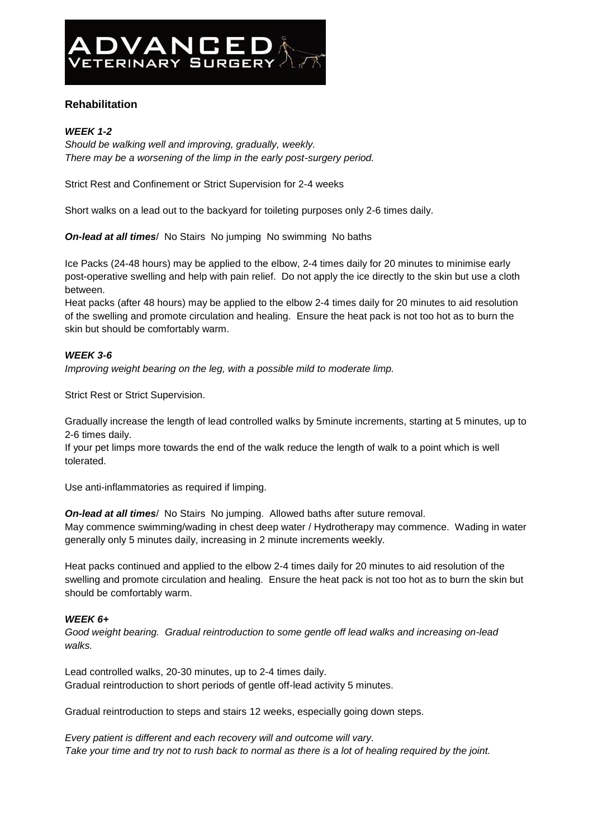

# **Rehabilitation**

#### *WEEK 1-2*

*Should be walking well and improving, gradually, weekly. There may be a worsening of the limp in the early post-surgery period.*

Strict Rest and Confinement or Strict Supervision for 2-4 weeks

Short walks on a lead out to the backyard for toileting purposes only 2-6 times daily.

*On-lead at all times*/ No Stairs No jumping No swimming No baths

Ice Packs (24-48 hours) may be applied to the elbow, 2-4 times daily for 20 minutes to minimise early post-operative swelling and help with pain relief. Do not apply the ice directly to the skin but use a cloth between.

Heat packs (after 48 hours) may be applied to the elbow 2-4 times daily for 20 minutes to aid resolution of the swelling and promote circulation and healing. Ensure the heat pack is not too hot as to burn the skin but should be comfortably warm.

# *WEEK 3-6*

*Improving weight bearing on the leg, with a possible mild to moderate limp.*

Strict Rest or Strict Supervision.

Gradually increase the length of lead controlled walks by 5minute increments, starting at 5 minutes, up to 2-6 times daily.

If your pet limps more towards the end of the walk reduce the length of walk to a point which is well tolerated.

Use anti-inflammatories as required if limping.

*On-lead at all times*/ No Stairs No jumping. Allowed baths after suture removal. May commence swimming/wading in chest deep water / Hydrotherapy may commence. Wading in water generally only 5 minutes daily, increasing in 2 minute increments weekly.

Heat packs continued and applied to the elbow 2-4 times daily for 20 minutes to aid resolution of the swelling and promote circulation and healing. Ensure the heat pack is not too hot as to burn the skin but should be comfortably warm.

# *WEEK 6+*

*Good weight bearing. Gradual reintroduction to some gentle off lead walks and increasing on-lead walks.*

Lead controlled walks, 20-30 minutes, up to 2-4 times daily. Gradual reintroduction to short periods of gentle off-lead activity 5 minutes.

Gradual reintroduction to steps and stairs 12 weeks, especially going down steps.

*Every patient is different and each recovery will and outcome will vary. Take your time and try not to rush back to normal as there is a lot of healing required by the joint.*